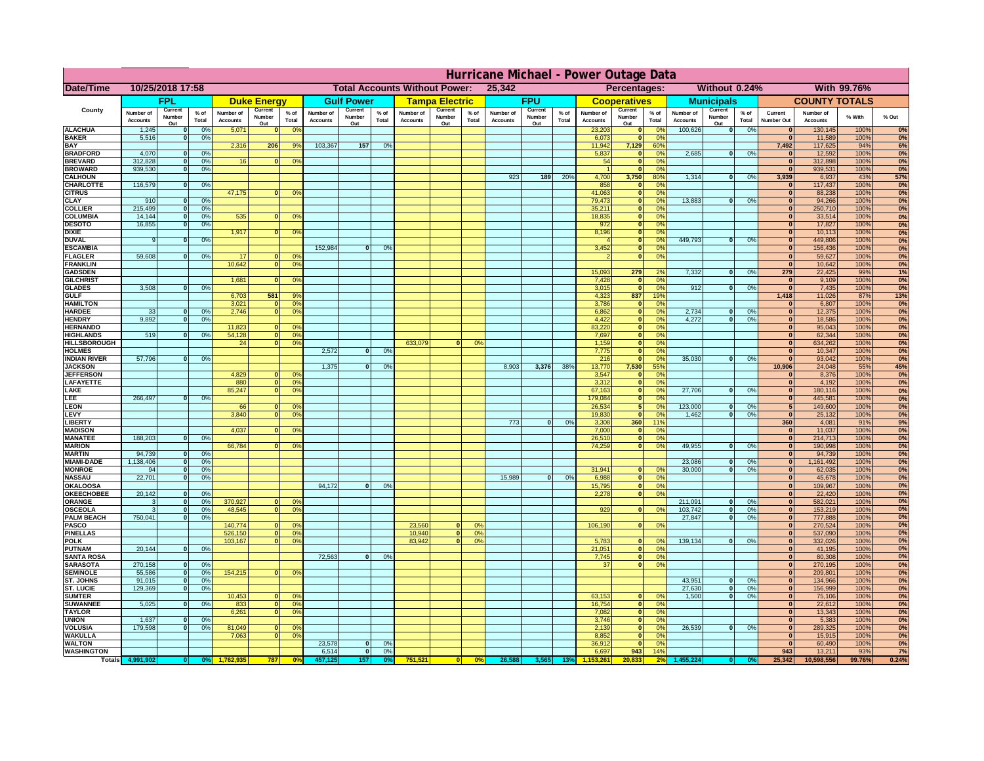|                                       | Hurricane Michael - Power Outage Data |                              |                      |                              |                                                |                                  |                              |                    |                 |                              |                                              |                 |                              |                   |                 |                              |                                                    |                                  |                              |                    |                 |                              |                              |              |                  |
|---------------------------------------|---------------------------------------|------------------------------|----------------------|------------------------------|------------------------------------------------|----------------------------------|------------------------------|--------------------|-----------------|------------------------------|----------------------------------------------|-----------------|------------------------------|-------------------|-----------------|------------------------------|----------------------------------------------------|----------------------------------|------------------------------|--------------------|-----------------|------------------------------|------------------------------|--------------|------------------|
| Date/Time                             | 10/25/2018 17:58                      |                              |                      |                              | <b>Total Accounts Without Power:</b><br>25,342 |                                  |                              |                    |                 |                              | Without 0.24%<br>With 99.76%<br>Percentages: |                 |                              |                   |                 |                              |                                                    |                                  |                              |                    |                 |                              |                              |              |                  |
|                                       |                                       | <b>FPL</b>                   |                      |                              | <b>Duke Energy</b>                             |                                  |                              | <b>Gulf Power</b>  |                 |                              | <b>Tampa Electric</b>                        |                 |                              | <b>FPU</b>        |                 |                              | <b>Cooperatives</b>                                |                                  |                              | <b>Municipals</b>  |                 |                              | <b>COUNTY TOTALS</b>         |              |                  |
| County                                | Number of<br><b>Accounts</b>          | Current<br>Number            | $%$ of<br>Total      | Number of<br><b>Accounts</b> | Current<br>Number                              | $%$ of<br>Total                  | Number of<br><b>Accounts</b> | Current<br>Number  | $%$ of<br>Total | Number of<br><b>Accounts</b> | Current<br>Number                            | $%$ of<br>Total | Number of<br><b>Accounts</b> | Current<br>Number | $%$ of<br>Total | Number of<br><b>Accounts</b> | Current<br>Number                                  | $%$ of<br>Total                  | Number of<br><b>Accounts</b> | Current<br>Number  | $%$ of<br>Total | Current<br><b>Number Out</b> | Number of<br><b>Accounts</b> | % With       | % Out            |
| <b>ALACHUA</b>                        | 1,245                                 | Out<br>$\mathbf{0}$          | 0%                   | 5,071                        | Out<br>$\bf{0}$                                | 0 <sup>9</sup>                   |                              | Out                |                 |                              | Out                                          |                 |                              | Out               |                 | 23,203                       | Out<br>$\mathbf{0}$                                | $\Omega$ <sup>c</sup>            | 100,626                      | Out<br> 0          | 0%              | $\bf{0}$                     | 130,145                      | 100%         | 0%               |
| <b>BAKER</b>                          | 5,516                                 | $\mathbf{0}$                 | 0%                   |                              |                                                |                                  |                              |                    |                 |                              |                                              |                 |                              |                   |                 | 6,073                        | $\mathbf{0}$                                       | 0 <sup>9</sup>                   |                              |                    |                 | $\bf{0}$                     | 11,589                       | 100%         | 0%               |
| <b>BAY</b><br><b>BRADFORD</b>         | 4,070                                 | $\mathbf{0}$                 | 0%                   | 2,316                        | 206                                            | 9%                               | 103,367                      | 157                | 0%              |                              |                                              |                 |                              |                   |                 | 11,942<br>5,837              | 7,129<br>$\mathbf{0}$                              | 60%<br>0 <sup>9</sup>            | 2,685                        | 0                  | 0%              | 7,492<br>$\bf{0}$            | 117,625<br>12,592            | 94%<br>100%  | 6%<br>0%         |
| <b>BREVARD</b>                        | 312,828                               | $\Omega$                     | 0%                   | 16                           | $\mathbf{0}$                                   | 0 <sup>o</sup>                   |                              |                    |                 |                              |                                              |                 |                              |                   |                 | 54                           | $\mathbf{0}$                                       | 0 <sup>9</sup>                   |                              |                    |                 | $\bf{0}$                     | 312,898                      | 100%         | 0%               |
| <b>BROWARD</b>                        | 939.530                               | $\Omega$                     | 0%                   |                              |                                                |                                  |                              |                    |                 |                              |                                              |                 |                              |                   |                 |                              | $\mathbf{0}$                                       | 0 <sup>9</sup>                   |                              |                    |                 | $\bf{0}$                     | 939,531                      | 100%         | 0%               |
| <b>CALHOUN</b><br>CHARLOTTE           | 116,579                               | $\mathbf{0}$                 | 0%                   |                              |                                                |                                  |                              |                    |                 |                              |                                              |                 | 923                          | 189               | 20%             | 4,700<br>858                 | 3,750                                              | 80%<br>$\Omega$ <sup>c</sup>     | 1,314                        | 0                  | 0%              | 3,939<br>$\bf{0}$            | 6,937<br>117,437             | 43%<br>100%  | <b>57%</b><br>0% |
| <b>CITRUS</b>                         |                                       |                              |                      | 47,175                       | $\mathbf{0}$                                   | 0 <sup>o</sup>                   |                              |                    |                 |                              |                                              |                 |                              |                   |                 | 41,063                       | $\mathbf{0}$                                       | $\Omega$ <sup>c</sup>            |                              |                    |                 | $\bf{0}$                     | 88,238                       | 100%         | 0%               |
| <b>CLAY</b>                           | 910                                   | $\mathbf{0}$                 | 0%                   |                              |                                                |                                  |                              |                    |                 |                              |                                              |                 |                              |                   |                 | 79,473                       | $\mathbf{0}$                                       | 0 <sup>9</sup>                   | 13,883                       | 0                  | 0%              | $\mathbf{0}$                 | 94,266                       | 100%         | 0%               |
| <b>COLLIER</b><br><b>COLUMBIA</b>     | 215,499<br>14,144                     | $\mathbf{0}$<br>$\mathbf{0}$ | 0 <sup>9</sup><br>0% | 535                          | $\bf{0}$                                       | 0 <sup>9</sup>                   |                              |                    |                 |                              |                                              |                 |                              |                   |                 | 35,211<br>18,835             | $\mathbf{0}$<br>$\mathbf{0}$                       | 0 <sup>9</sup><br>0 <sup>9</sup> |                              |                    |                 | $\mathbf{0}$<br>$\mathbf{0}$ | 250,710<br>33,514            | 100%<br>100% | 0%<br>0%         |
| <b>DESOTO</b>                         | 16,855                                | $\mathbf{0}$                 | 0%                   |                              |                                                |                                  |                              |                    |                 |                              |                                              |                 |                              |                   |                 | 972                          | $\mathbf{0}$                                       | 0 <sup>9</sup>                   |                              |                    |                 | $\bf{0}$                     | 17,827                       | 100%         | 0%               |
| <b>DIXIE</b><br><b>DUVAL</b>          | 9                                     | $\Omega$                     | 0%                   | 1,917                        | $\Omega$                                       | 0 <sup>9</sup>                   |                              |                    |                 |                              |                                              |                 |                              |                   |                 | 8,196                        | $\mathbf{0}$<br>$\mathbf{0}$                       | 0 <sup>9</sup><br>0 <sup>9</sup> | 449.793                      | $\mathbf{0}$       | 0%              | $\bf{0}$<br>$\bf{0}$         | 10,113<br>449,806            | 100%<br>100% | 0%<br>0%         |
| <b>ESCAMBIA</b>                       |                                       |                              |                      |                              |                                                |                                  | 152,984                      | 0                  | 0%              |                              |                                              |                 |                              |                   |                 | 3,452                        | $\mathbf{0}$                                       | 0%                               |                              |                    |                 | $\mathbf{0}$                 | 156,436                      | 100%         | 0%               |
| <b>FLAGLER</b>                        | 59,608                                | $\mathbf{o}$                 | 0%                   | 17                           |                                                | 0°                               |                              |                    |                 |                              |                                              |                 |                              |                   |                 |                              | $\mathbf{0}$                                       | 0%                               |                              |                    |                 | $\mathbf{0}$                 | 59,627                       | 100%         | 0%               |
| <b>FRANKLIN</b><br><b>GADSDEN</b>     |                                       |                              |                      | 10,642                       | 0                                              | 0 <sup>9</sup>                   |                              |                    |                 |                              |                                              |                 |                              |                   |                 | 15,093                       | 279                                                | 2%                               | 7,332                        | 0                  | 0%              | $\bf{0}$<br>279              | 10,642<br>22,425             | 100%<br>99%  | 0%<br>1%         |
| <b>GILCHRIST</b>                      |                                       |                              |                      | 1,681                        | $\mathbf{0}$                                   | 0 <sup>9</sup>                   |                              |                    |                 |                              |                                              |                 |                              |                   |                 | 7,428                        | $\mathbf{0}$                                       | 0%                               |                              |                    |                 | $\mathbf{0}$                 | 9,109                        | 100%         | 0%               |
| <b>GLADES</b>                         | 3,508                                 | $\mathbf{0}$                 | 0%                   |                              |                                                |                                  |                              |                    |                 |                              |                                              |                 |                              |                   |                 | 3,015                        | $\mathbf{0}$                                       | 0%                               | 912                          | $\overline{0}$     | 0%              | 0                            | 7,435                        | 100%         | 0%               |
| <b>GULF</b><br><b>HAMILTON</b>        |                                       |                              |                      | 6,703<br>3,021               | 581<br>$\Omega$                                | 9%<br>0 <sup>9</sup>             |                              |                    |                 |                              |                                              |                 |                              |                   |                 | 4,323<br>3,786               | 837<br>$\mathbf{0}$                                | 19%<br>0%                        |                              |                    |                 | 1,418<br>$\mathbf{0}$        | 11,026<br>6,807              | 87%<br>100%  | 13%<br>0%        |
| <b>HARDEE</b>                         | 33                                    | $\mathbf{0}$                 | 0%                   | 2.746                        | n l                                            | 0 <sup>9</sup>                   |                              |                    |                 |                              |                                              |                 |                              |                   |                 | 6.862                        | $\overline{0}$                                     | 0%                               | 2.734                        | $\mathbf{0}$       | 0%              | $\mathbf{0}$                 | 12,375                       | 100%         | 0%               |
| <b>HENDRY</b>                         | 9.892                                 | 0I                           | 0%                   |                              |                                                |                                  |                              |                    |                 |                              |                                              |                 |                              |                   |                 | 4,422                        | $\overline{0}$                                     | 0%                               | 4.272                        | $\Omega$           | 0%              | $\mathbf{0}$                 | 18,586                       | 100%         | 0%               |
| <b>HERNANDO</b><br><b>HIGHLANDS</b>   | 519                                   | $\bf{0}$                     | 0%                   | 11,823<br>54,128             | 0                                              | 0 <sup>9</sup><br>0 <sup>9</sup> |                              |                    |                 |                              |                                              |                 |                              |                   |                 | 83,220<br>7,697              | $\overline{\mathbf{0}}$<br>$\overline{\mathbf{0}}$ | 0%<br>0%                         |                              |                    |                 | 0 <br>$\mathbf{0}$           | 95,043<br>62,344             | 100%<br>100% | 0%<br>0%         |
| <b>HILLSBOROUGH</b>                   |                                       |                              |                      | 24                           | $\overline{0}$                                 | 0%                               |                              |                    |                 | 633,079                      |                                              | 0%              |                              |                   |                 | 1,159                        | $\overline{0}$                                     | 0%                               |                              |                    |                 | $\mathbf{0}$                 | 634,262                      | 100%         | 0%               |
| <b>HOLMES</b>                         |                                       |                              |                      |                              |                                                |                                  | 2,572                        | $\mathbf{0}$       | 0%              |                              |                                              |                 |                              |                   |                 | 7,775                        | $\overline{\phantom{a}}$                           | 0 <sup>9</sup>                   |                              |                    |                 | $\mathbf{0}$                 | 10,347                       | 100%         | 0%               |
| <b>INDIAN RIVER</b><br><b>JACKSON</b> | 57,796                                | 0                            | 0%                   |                              |                                                |                                  | 1.375                        | $\Omega$           | $\Omega$        |                              |                                              |                 | 8.903                        | 3,376             | 38%             | 216<br>13,770                | $\mathbf{0}$<br>7,530                              | 0 <sup>9</sup><br>55%            | 35,030                       | $\mathbf{0}$       | 0%              | $\overline{0}$<br>10,906     | 93,042<br>24,048             | 100%<br>55%  | 0%<br>45%        |
| <b>JEFFERSON</b>                      |                                       |                              |                      | 4,829                        | n.                                             | O <sup>9</sup>                   |                              |                    |                 |                              |                                              |                 |                              |                   |                 | 3,547                        | $\mathbf{0}$                                       | 0%                               |                              |                    |                 | $\bf{0}$                     | 8,376                        | 100%         | 0%               |
| <b>LAFAYETTE</b>                      |                                       |                              |                      | 880                          | $\overline{0}$                                 | 0 <sup>9</sup>                   |                              |                    |                 |                              |                                              |                 |                              |                   |                 | 3,312                        | $\mathbf{0}$                                       | 0%                               |                              |                    |                 | $\mathbf{0}$                 | 4,192                        | 100%         | 0%               |
| LAKE<br>LEE                           | 266,497                               | $\Omega$                     | 0%                   | 85,247                       | $\overline{0}$                                 | 0 <sup>9</sup>                   |                              |                    |                 |                              |                                              |                 |                              |                   |                 | 67,163<br>179,084            | $\mathbf{0}$<br>$\Omega$                           | 0%<br>0%                         | 27,706                       | $\Omega$           | 0%              | $\mathbf{0}$<br>$\mathbf{0}$ | 180,116<br>445,581           | 100%<br>100% | 0%<br>0%         |
| LEON                                  |                                       |                              |                      | 66                           | $\mathbf{0}$                                   | 0 <sup>o</sup>                   |                              |                    |                 |                              |                                              |                 |                              |                   |                 | 26,534                       |                                                    | 0%                               | 123,000                      | $\mathbf{0}$       | 0%              | 5 <sub>1</sub>               | 149,600                      | 100%         | 0%               |
| LEVY                                  |                                       |                              |                      | 3,840                        | $\Omega$                                       | 0 <sup>9</sup>                   |                              |                    |                 |                              |                                              |                 |                              |                   |                 | 19,830                       |                                                    | 0 <sup>9</sup>                   | 1,462                        | $\Omega$           | 0%              | 0                            | 25,132                       | 100%         | 0%               |
| LIBERTY<br><b>MADISON</b>             |                                       |                              |                      | 4,037                        |                                                | 0 <sup>9</sup>                   |                              |                    |                 |                              |                                              |                 | 773                          | 0                 | 0%              | 3,308<br>7,000               | 360<br>$\mathbf{0}$                                | 11%<br>0%                        |                              |                    |                 | 360<br> 0                    | 4,081<br>11,037              | 91%<br>100%  | 9%<br>0%         |
| <b>MANATEE</b>                        | 188,203                               | $\mathbf{0}$                 | 0%                   |                              |                                                |                                  |                              |                    |                 |                              |                                              |                 |                              |                   |                 | 26,510                       | $\mathbf{0}$                                       | 0%                               |                              |                    |                 | 0                            | 214,713                      | 100%         | 0%               |
| <b>MARION</b>                         |                                       |                              |                      | 66,784                       |                                                | 0 <sup>9</sup>                   |                              |                    |                 |                              |                                              |                 |                              |                   |                 | 74,259                       | $\mathbf{0}$                                       | 0%                               | 49,955                       | $\mathbf{0}$       | 0%              | 0                            | 190,998                      | 100%         | 0%               |
| <b>MARTIN</b><br><b>MIAMI-DADE</b>    | 94,739<br>1,138,406                   | 0 <br> 0                     | 0%<br>0%             |                              |                                                |                                  |                              |                    |                 |                              |                                              |                 |                              |                   |                 |                              |                                                    |                                  | 23,086                       | 0                  | 0%              | 0 <br> 0                     | 94,739<br>1,161,492          | 100%<br>100% | 0%<br>0%         |
| <b>MONROE</b>                         | 94                                    | 0                            | 0%                   |                              |                                                |                                  |                              |                    |                 |                              |                                              |                 |                              |                   |                 | 31,941                       |                                                    | 0 <sup>9</sup>                   | 30,000                       | $\Omega$           | 0%              | 0                            | 62,035                       | 100%         | 0%               |
| <b>NASSAU</b>                         | 22,701                                | 0                            | 0%                   |                              |                                                |                                  |                              |                    |                 |                              |                                              |                 | 15,989                       | 0                 | 0%              | 6,988                        | $\mathbf{0}$                                       | 0 <sup>9</sup>                   |                              |                    |                 | $\mathbf{0}$                 | 45,678                       | 100%         | 0%               |
| OKALOOS/<br><b>OKEECHOBEE</b>         | 20,142                                | 0                            | 0%                   |                              |                                                |                                  | 94,172                       | $\mathbf{0}$       | 0%              |                              |                                              |                 |                              |                   |                 | 15,795<br>2,278              | 0 <br> 0                                           | 0%<br>0%                         |                              |                    |                 | $\mathbf{0}$<br>$\mathbf{0}$ | 109,967<br>22,420            | 100%<br>100% | 0%<br>0%         |
| ORANGE                                | 3                                     | 0                            | 0%                   | 370,927                      | $\mathbf{0}$                                   | 0 <sup>o</sup>                   |                              |                    |                 |                              |                                              |                 |                              |                   |                 |                              |                                                    |                                  | 211,091                      | $\mathbf{0}$       | 0%              | $\mathbf{0}$                 | 582,021                      | 100%         | 0%               |
| <b>OSCEOLA</b>                        | 3                                     | 0                            | 0%                   | 48,545                       | $\Omega$                                       | 0 <sup>9</sup>                   |                              |                    |                 |                              |                                              |                 |                              |                   |                 | 929                          | $\Omega$                                           | 0 <sup>9</sup>                   | 103,742                      | 0                  | 0%              | 0                            | 153,219                      | 100%         | 0%               |
| <b>PALM BEACH</b><br><b>PASCO</b>     | 750,041                               | 0                            | 0%                   | 140,774                      | $\mathbf{0}$                                   | 0 <sup>9</sup>                   |                              |                    |                 | 23,560                       | $\Omega$                                     | 0 <sup>9</sup>  |                              |                   |                 | 106,190                      | 0                                                  | 0 <sup>9</sup>                   | 27,847                       | $\overline{0}$     | 0%              | $\mathbf{0}$<br>$\mathbf{0}$ | 777,888<br>270,524           | 100%<br>100% | 0%<br>0%         |
| <b>PINELLAS</b>                       |                                       |                              |                      | 526,150                      | 0                                              | 0 <sup>9</sup>                   |                              |                    |                 | 10,940                       | 0                                            | 0%              |                              |                   |                 |                              |                                                    |                                  |                              |                    |                 | $\mathbf{0}$                 | 537,090                      | 100%         | 0%               |
| <b>POLK</b>                           |                                       |                              |                      | 103,167                      | 0                                              | 0 <sup>9</sup>                   |                              |                    |                 | 83,942                       | 0                                            | 0%              |                              |                   |                 | 5,783                        | $\Omega$                                           | no                               | 139,134                      | $\mathbf{0}$       | 0%              | $\mathbf{0}$                 | 332,026                      | 100%         | 0%               |
| <b>PUTNAM</b><br><b>SANTA ROSA</b>    | 20,144                                | 0                            | 0%                   |                              |                                                |                                  | 72,563                       | 0                  | 0%              |                              |                                              |                 |                              |                   |                 | 21,051<br>7,745              | $\mathbf{0}$<br> 0                                 | 0 <sup>9</sup><br>0%             |                              |                    |                 | $\mathbf{0}$<br>$\mathbf{0}$ | 41,195<br>80,308             | 100%<br>100% | 0%<br>0%         |
| <b>SARASOTA</b>                       | 270,158                               | 0                            | 0%                   |                              |                                                |                                  |                              |                    |                 |                              |                                              |                 |                              |                   |                 | 37                           | $\overline{0}$                                     | 0%                               |                              |                    |                 | $\mathbf{0}$                 | 270,195                      | 100%         | 0%               |
| <b>SEMINOLE</b>                       | 55,586                                | 0                            | 0%                   | 154,215                      | $\mathbf{0}$                                   | 0 <sup>9</sup>                   |                              |                    |                 |                              |                                              |                 |                              |                   |                 |                              |                                                    |                                  |                              |                    |                 | $\mathbf{0}$                 | 209,801                      | 100%         | 0%               |
| <b>ST. JOHNS</b><br><b>ST. LUCIE</b>  | 91,015<br>129.369                     | 0<br>$\mathbf{0}$            | 0%<br>0%             |                              |                                                |                                  |                              |                    |                 |                              |                                              |                 |                              |                   |                 |                              |                                                    |                                  | 43,951<br>27,630             | 0 <br>$\mathbf{0}$ | 0%<br>0%        | $\mathbf{0}$<br> 0           | 134,966<br>156.999           | 100%<br>100% | 0%<br>0%         |
| <b>SUMTER</b>                         |                                       |                              |                      | 10,453                       | $\mathbf{0}$                                   | 0 <sup>9</sup>                   |                              |                    |                 |                              |                                              |                 |                              |                   |                 | 63,153                       | $\mathbf{0}$                                       | 0 <sup>o</sup>                   | 1.500                        | 0                  | 0%              | $\mathbf{0}$                 | 75,106                       | 100%         | 0%               |
| <b>SUWANNEE</b>                       | 5,025                                 | $\Omega$                     | 0%                   | 833                          | 0                                              | 0 <sup>9</sup>                   |                              |                    |                 |                              |                                              |                 |                              |                   |                 | 16,754                       | $\mathbf{0}$                                       | 0 <sup>9</sup>                   |                              |                    |                 | $\mathbf{0}$                 | 22,612                       | 100%         | 0%               |
| <b>TAYLOR</b><br><b>UNION</b>         | 1,637                                 | $\mathbf{0}$                 | 0%                   | 6,261                        | 0                                              | 0 <sup>9</sup>                   |                              |                    |                 |                              |                                              |                 |                              |                   |                 | 7,082<br>3,746               | $\mathbf{0}$<br>$\mathbf{0}$                       | 0%<br>0 <sup>9</sup>             |                              |                    |                 | $\mathbf{0}$<br>$\mathbf{0}$ | 13,343<br>5,383              | 100%<br>100% | 0%<br>0%         |
| <b>VOLUSIA</b>                        | 179,598                               | $\mathbf{0}$                 | 0%                   | 81,049                       | $\bf{0}$                                       | 0 <sup>9</sup>                   |                              |                    |                 |                              |                                              |                 |                              |                   |                 | 2,139                        | $\mathbf{0}$                                       | 0 <sup>9</sup>                   | 26,539                       | 0                  | 0%              | $\mathbf{0}$                 | 289,325                      | 100%         | 0%               |
| <b>WAKULLA</b>                        |                                       |                              |                      | 7,063                        | $\bf{0}$                                       | 0 <sup>9</sup>                   |                              |                    |                 |                              |                                              |                 |                              |                   |                 | 8,852                        | $\mathbf{0}$                                       | 0 <sup>9</sup>                   |                              |                    |                 | $\mathbf{0}$                 | 15,915                       | 100%         | 0%               |
| <b>WALTON</b><br><b>WASHINGTON</b>    |                                       |                              |                      |                              |                                                |                                  | 23,578<br>6,514              | $\mathbf{0}$<br> 0 | 0%<br>0%        |                              |                                              |                 |                              |                   |                 | 36,912<br>6,697              | $\mathbf{0}$<br>943                                | 0 <sup>9</sup><br>14%            |                              |                    |                 | $\mathbf{0}$<br>943          | 60,490<br>13,211             | 100%<br>93%  | 0%<br>7%         |
| <b>Totals</b>                         |                                       |                              |                      |                              | 787                                            |                                  |                              | 157                | -O°             | 751,52                       |                                              | 0%              | 26,58                        |                   |                 |                              |                                                    |                                  |                              |                    |                 | 25,342                       | 10,598,556                   | 99.76%       | 0.24%            |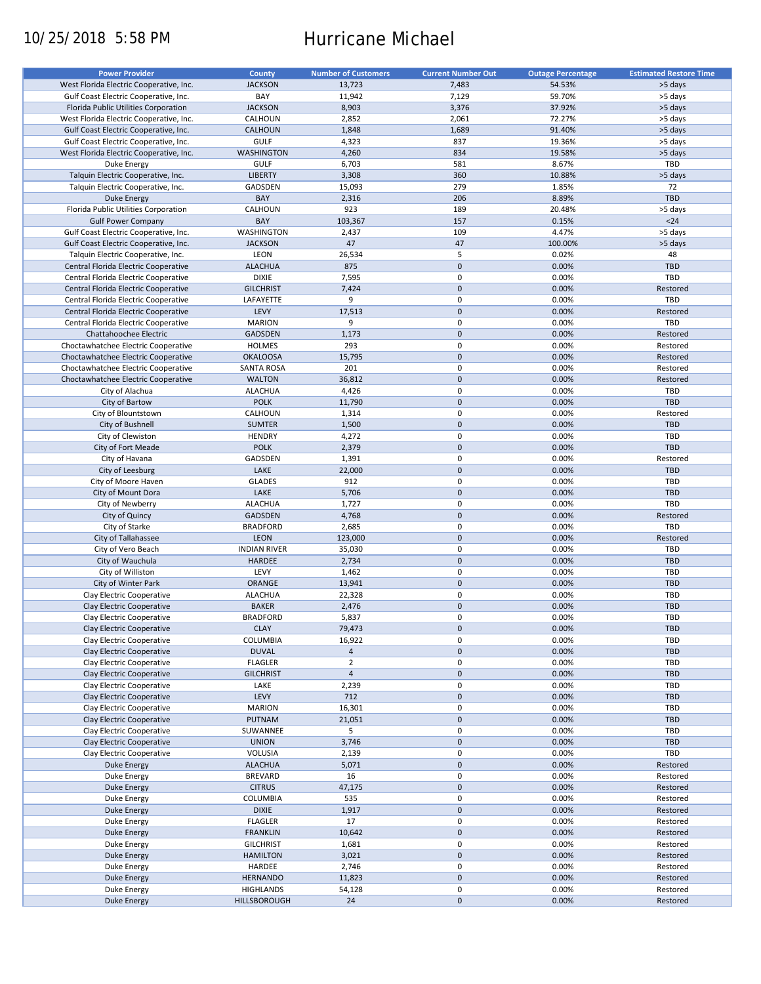# 10/25/2018 5:58 PM Hurricane Michael

| <b>Power Provider</b>                   | <b>County</b>       | <b>Number of Customers</b> | <b>Current Number Out</b> |                          | <b>Estimated Restore Time</b> |
|-----------------------------------------|---------------------|----------------------------|---------------------------|--------------------------|-------------------------------|
|                                         |                     |                            |                           | <b>Outage Percentage</b> |                               |
| West Florida Electric Cooperative, Inc. | <b>JACKSON</b>      | 13,723                     | 7,483                     | 54.53%                   | >5 days                       |
| Gulf Coast Electric Cooperative, Inc.   | BAY                 | 11,942                     | 7,129                     | 59.70%                   | >5 days                       |
| Florida Public Utilities Corporation    | <b>JACKSON</b>      | 8,903                      | 3,376                     | 37.92%                   | >5 days                       |
| West Florida Electric Cooperative, Inc. | CALHOUN             | 2,852                      | 2,061                     | 72.27%                   | >5 days                       |
| Gulf Coast Electric Cooperative, Inc.   | <b>CALHOUN</b>      | 1,848                      | 1,689                     | 91.40%                   | >5 days                       |
|                                         |                     |                            |                           |                          |                               |
| Gulf Coast Electric Cooperative, Inc.   | <b>GULF</b>         | 4,323                      | 837                       | 19.36%                   | >5 days                       |
| West Florida Electric Cooperative, Inc. | <b>WASHINGTON</b>   | 4,260                      | 834                       | 19.58%                   | >5 days                       |
| Duke Energy                             | <b>GULF</b>         | 6,703                      | 581                       | 8.67%                    | TBD                           |
| Talquin Electric Cooperative, Inc.      | <b>LIBERTY</b>      | 3,308                      | 360                       | 10.88%                   | >5 days                       |
| Talquin Electric Cooperative, Inc.      | GADSDEN             | 15,093                     | 279                       | 1.85%                    | 72                            |
| <b>Duke Energy</b>                      | BAY                 | 2,316                      | 206                       | 8.89%                    | <b>TBD</b>                    |
| Florida Public Utilities Corporation    | CALHOUN             | 923                        | 189                       | 20.48%                   | >5 days                       |
|                                         | BAY                 |                            | 157                       | 0.15%                    | $24$                          |
| <b>Gulf Power Company</b>               |                     | 103,367                    |                           |                          |                               |
| Gulf Coast Electric Cooperative, Inc.   | WASHINGTON          | 2,437                      | 109                       | 4.47%                    | >5 days                       |
| Gulf Coast Electric Cooperative, Inc.   | <b>JACKSON</b>      | 47                         | 47                        | 100.00%                  | >5 days                       |
| Talquin Electric Cooperative, Inc.      | LEON                | 26,534                     | 5                         | 0.02%                    | 48                            |
| Central Florida Electric Cooperative    | <b>ALACHUA</b>      | 875                        | $\mathbf 0$               | 0.00%                    | <b>TBD</b>                    |
| Central Florida Electric Cooperative    | <b>DIXIE</b>        | 7,595                      | $\pmb{0}$                 | 0.00%                    | <b>TBD</b>                    |
| Central Florida Electric Cooperative    | <b>GILCHRIST</b>    | 7,424                      | $\mathbf 0$               | 0.00%                    | Restored                      |
|                                         |                     |                            |                           |                          | TBD                           |
| Central Florida Electric Cooperative    | LAFAYETTE           | 9                          | $\pmb{0}$                 | 0.00%                    |                               |
| Central Florida Electric Cooperative    | LEVY                | 17,513                     | $\mathbf 0$               | 0.00%                    | Restored                      |
| Central Florida Electric Cooperative    | <b>MARION</b>       | 9                          | $\mathbf 0$               | 0.00%                    | TBD                           |
| Chattahoochee Electric                  | <b>GADSDEN</b>      | 1,173                      | $\mathbf 0$               | 0.00%                    | Restored                      |
| Choctawhatchee Electric Cooperative     | <b>HOLMES</b>       | 293                        | $\mathbf 0$               | 0.00%                    | Restored                      |
| Choctawhatchee Electric Cooperative     | <b>OKALOOSA</b>     | 15,795                     | $\mathbf 0$               | 0.00%                    | Restored                      |
| Choctawhatchee Electric Cooperative     | <b>SANTA ROSA</b>   | 201                        | 0                         | 0.00%                    | Restored                      |
| Choctawhatchee Electric Cooperative     | <b>WALTON</b>       | 36,812                     | $\mathbf 0$               | 0.00%                    | Restored                      |
|                                         |                     |                            |                           |                          |                               |
| City of Alachua                         | <b>ALACHUA</b>      | 4,426                      | $\pmb{0}$                 | 0.00%                    | TBD                           |
| City of Bartow                          | <b>POLK</b>         | 11,790                     | $\mathbf 0$               | 0.00%                    | <b>TBD</b>                    |
| City of Blountstown                     | CALHOUN             | 1,314                      | $\pmb{0}$                 | 0.00%                    | Restored                      |
| City of Bushnell                        | <b>SUMTER</b>       | 1,500                      | $\mathbf 0$               | 0.00%                    | <b>TBD</b>                    |
| City of Clewiston                       | <b>HENDRY</b>       | 4,272                      | 0                         | 0.00%                    | TBD                           |
| City of Fort Meade                      | <b>POLK</b>         | 2,379                      | $\mathbf 0$               | 0.00%                    | <b>TBD</b>                    |
| City of Havana                          | GADSDEN             | 1,391                      | $\pmb{0}$                 | 0.00%                    | Restored                      |
|                                         |                     |                            | $\mathbf 0$               |                          |                               |
| City of Leesburg                        | LAKE                | 22,000                     |                           | 0.00%                    | <b>TBD</b>                    |
| City of Moore Haven                     | <b>GLADES</b>       | 912                        | $\pmb{0}$                 | 0.00%                    | TBD                           |
| City of Mount Dora                      | LAKE                | 5,706                      | $\mathbf 0$               | 0.00%                    | TBD                           |
| City of Newberry                        | <b>ALACHUA</b>      | 1,727                      | $\pmb{0}$                 | 0.00%                    | TBD                           |
| City of Quincy                          | <b>GADSDEN</b>      | 4,768                      | $\mathbf 0$               | 0.00%                    | Restored                      |
| City of Starke                          | <b>BRADFORD</b>     | 2,685                      | $\pmb{0}$                 | 0.00%                    | TBD                           |
| City of Tallahassee                     | <b>LEON</b>         | 123,000                    | $\mathbf 0$               | 0.00%                    | Restored                      |
| City of Vero Beach                      | <b>INDIAN RIVER</b> | 35,030                     | $\pmb{0}$                 | 0.00%                    | <b>TBD</b>                    |
| City of Wauchula                        | <b>HARDEE</b>       |                            | $\mathbf 0$               | 0.00%                    | <b>TBD</b>                    |
|                                         |                     | 2,734                      |                           |                          |                               |
| City of Williston                       | LEVY                | 1,462                      | 0                         | 0.00%                    | <b>TBD</b>                    |
| City of Winter Park                     | <b>ORANGE</b>       | 13,941                     | $\mathbf 0$               | 0.00%                    | <b>TBD</b>                    |
| Clay Electric Cooperative               | <b>ALACHUA</b>      | 22,328                     | $\pmb{0}$                 | 0.00%                    | <b>TBD</b>                    |
| Clay Electric Cooperative               | <b>BAKER</b>        | 2,476                      | $\mathbf 0$               | 0.00%                    | <b>TBD</b>                    |
| Clay Electric Cooperative               | <b>BRADFORD</b>     | 5,837                      | $\mathbf 0$               | 0.00%                    | TBD                           |
| Clay Electric Cooperative               | <b>CLAY</b>         | 79,473                     | $\pmb{0}$                 | 0.00%                    | <b>TBD</b>                    |
| Clay Electric Cooperative               | <b>COLUMBIA</b>     | 16,922                     | 0                         | 0.00%                    | TBD                           |
|                                         |                     |                            |                           |                          |                               |
| Clay Electric Cooperative               | <b>DUVAL</b>        | $\overline{4}$             | $\pmb{0}$                 | 0.00%                    | TBD                           |
| Clay Electric Cooperative               | <b>FLAGLER</b>      | $\overline{2}$             | 0                         | 0.00%                    | TBD                           |
| Clay Electric Cooperative               | <b>GILCHRIST</b>    | $\overline{4}$             | $\mathsf{O}\xspace$       | 0.00%                    | <b>TBD</b>                    |
| Clay Electric Cooperative               | LAKE                | 2,239                      | 0                         | 0.00%                    | TBD                           |
| Clay Electric Cooperative               | LEVY                | 712                        | $\mathsf{O}\xspace$       | 0.00%                    | <b>TBD</b>                    |
| Clay Electric Cooperative               | <b>MARION</b>       | 16,301                     | 0                         | 0.00%                    | TBD                           |
| Clay Electric Cooperative               | PUTNAM              | 21,051                     | $\pmb{0}$                 | 0.00%                    | <b>TBD</b>                    |
|                                         |                     |                            |                           |                          |                               |
| Clay Electric Cooperative               | SUWANNEE            | 5                          | 0                         | 0.00%                    | TBD                           |
| Clay Electric Cooperative               | <b>UNION</b>        | 3,746                      | $\pmb{0}$                 | 0.00%                    | <b>TBD</b>                    |
| Clay Electric Cooperative               | VOLUSIA             | 2,139                      | 0                         | 0.00%                    | TBD                           |
| Duke Energy                             | <b>ALACHUA</b>      | 5,071                      | $\pmb{0}$                 | 0.00%                    | Restored                      |
| Duke Energy                             | <b>BREVARD</b>      | 16                         | $\pmb{0}$                 | 0.00%                    | Restored                      |
| Duke Energy                             | <b>CITRUS</b>       | 47,175                     | $\pmb{0}$                 | 0.00%                    | Restored                      |
| Duke Energy                             | COLUMBIA            | 535                        | $\pmb{0}$                 | 0.00%                    | Restored                      |
| <b>Duke Energy</b>                      | <b>DIXIE</b>        | 1,917                      | $\pmb{0}$                 | 0.00%                    | Restored                      |
|                                         |                     |                            |                           |                          |                               |
| Duke Energy                             | <b>FLAGLER</b>      | 17                         | 0                         | 0.00%                    | Restored                      |
| <b>Duke Energy</b>                      | <b>FRANKLIN</b>     | 10,642                     | $\pmb{0}$                 | 0.00%                    | Restored                      |
| Duke Energy                             | <b>GILCHRIST</b>    | 1,681                      | $\pmb{0}$                 | 0.00%                    | Restored                      |
| Duke Energy                             | <b>HAMILTON</b>     | 3,021                      | $\pmb{0}$                 | 0.00%                    | Restored                      |
| Duke Energy                             | HARDEE              | 2,746                      | 0                         | 0.00%                    | Restored                      |
| <b>Duke Energy</b>                      | <b>HERNANDO</b>     | 11,823                     | $\pmb{0}$                 | 0.00%                    | Restored                      |
| Duke Energy                             | <b>HIGHLANDS</b>    | 54,128                     | 0                         | 0.00%                    | Restored                      |
|                                         |                     |                            | $\pmb{0}$                 |                          |                               |
| Duke Energy                             | HILLSBOROUGH        | 24                         |                           | 0.00%                    | Restored                      |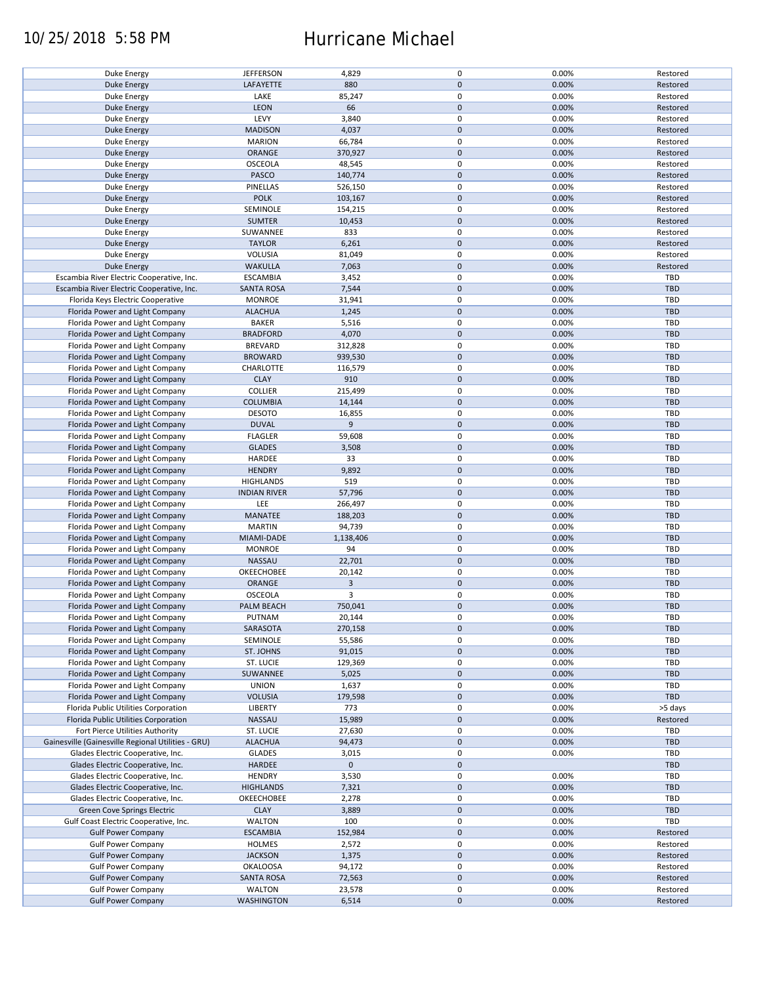### 10/25/2018 5:58 PM Hurricane Michael

| Duke Energy                                        | <b>JEFFERSON</b>    | 4,829          | $\pmb{0}$           | 0.00% | Restored   |
|----------------------------------------------------|---------------------|----------------|---------------------|-------|------------|
| <b>Duke Energy</b>                                 | LAFAYETTE           | 880            | $\mathbf 0$         | 0.00% | Restored   |
|                                                    |                     |                |                     |       |            |
| Duke Energy                                        | LAKE                | 85,247         | 0                   | 0.00% | Restored   |
| <b>Duke Energy</b>                                 | LEON                | 66             | $\mathbf 0$         | 0.00% | Restored   |
|                                                    |                     |                |                     |       |            |
| Duke Energy                                        | LEVY                | 3,840          | $\pmb{0}$           | 0.00% | Restored   |
| <b>Duke Energy</b>                                 | <b>MADISON</b>      | 4,037          | $\mathbf 0$         | 0.00% | Restored   |
| Duke Energy                                        | <b>MARION</b>       | 66,784         | 0                   | 0.00% | Restored   |
|                                                    |                     |                |                     |       |            |
| <b>Duke Energy</b>                                 | ORANGE              | 370,927        | $\mathbf 0$         | 0.00% | Restored   |
| Duke Energy                                        | <b>OSCEOLA</b>      | 48,545         | 0                   | 0.00% | Restored   |
| <b>Duke Energy</b>                                 | PASCO               | 140,774        | $\mathbf 0$         | 0.00% | Restored   |
|                                                    |                     |                |                     |       |            |
| Duke Energy                                        | PINELLAS            | 526,150        | 0                   | 0.00% | Restored   |
| <b>Duke Energy</b>                                 | <b>POLK</b>         | 103,167        | $\mathbf 0$         | 0.00% | Restored   |
|                                                    |                     |                |                     |       |            |
| Duke Energy                                        | SEMINOLE            | 154,215        | $\pmb{0}$           | 0.00% | Restored   |
| <b>Duke Energy</b>                                 | <b>SUMTER</b>       | 10,453         | $\mathbf 0$         | 0.00% | Restored   |
|                                                    |                     | 833            | 0                   | 0.00% | Restored   |
| Duke Energy                                        | SUWANNEE            |                |                     |       |            |
| <b>Duke Energy</b>                                 | <b>TAYLOR</b>       | 6,261          | $\pmb{0}$           | 0.00% | Restored   |
| Duke Energy                                        | VOLUSIA             | 81,049         | $\pmb{0}$           | 0.00% | Restored   |
|                                                    |                     |                |                     |       |            |
| <b>Duke Energy</b>                                 | <b>WAKULLA</b>      | 7,063          | $\pmb{0}$           | 0.00% | Restored   |
| Escambia River Electric Cooperative, Inc.          | <b>ESCAMBIA</b>     | 3,452          | $\pmb{0}$           | 0.00% | <b>TBD</b> |
| Escambia River Electric Cooperative, Inc.          | <b>SANTA ROSA</b>   | 7,544          | $\pmb{0}$           | 0.00% | <b>TBD</b> |
|                                                    |                     |                |                     |       |            |
| Florida Keys Electric Cooperative                  | <b>MONROE</b>       | 31,941         | $\pmb{0}$           | 0.00% | <b>TBD</b> |
| Florida Power and Light Company                    | <b>ALACHUA</b>      | 1,245          | $\pmb{0}$           | 0.00% | <b>TBD</b> |
|                                                    |                     |                |                     |       |            |
| Florida Power and Light Company                    | <b>BAKER</b>        | 5,516          | 0                   | 0.00% | <b>TBD</b> |
| Florida Power and Light Company                    | <b>BRADFORD</b>     | 4,070          | $\pmb{0}$           | 0.00% | <b>TBD</b> |
|                                                    |                     |                |                     |       |            |
| Florida Power and Light Company                    | <b>BREVARD</b>      | 312,828        | $\pmb{0}$           | 0.00% | TBD        |
| Florida Power and Light Company                    | <b>BROWARD</b>      | 939,530        | $\pmb{0}$           | 0.00% | <b>TBD</b> |
| Florida Power and Light Company                    | CHARLOTTE           | 116,579        | 0                   | 0.00% | TBD        |
|                                                    |                     |                |                     |       |            |
| Florida Power and Light Company                    | <b>CLAY</b>         | 910            | $\mathbf 0$         | 0.00% | <b>TBD</b> |
| Florida Power and Light Company                    | <b>COLLIER</b>      | 215,499        | $\pmb{0}$           | 0.00% | <b>TBD</b> |
|                                                    |                     |                |                     |       |            |
| Florida Power and Light Company                    | <b>COLUMBIA</b>     | 14,144         | $\mathbf 0$         | 0.00% | <b>TBD</b> |
| Florida Power and Light Company                    | <b>DESOTO</b>       | 16,855         | 0                   | 0.00% | <b>TBD</b> |
| Florida Power and Light Company                    | <b>DUVAL</b>        | 9              | $\mathbf 0$         | 0.00% | <b>TBD</b> |
|                                                    |                     |                |                     |       |            |
| Florida Power and Light Company                    | <b>FLAGLER</b>      | 59,608         | $\pmb{0}$           | 0.00% | TBD        |
| Florida Power and Light Company                    | <b>GLADES</b>       | 3,508          | $\pmb{0}$           | 0.00% | <b>TBD</b> |
|                                                    |                     |                |                     |       |            |
| Florida Power and Light Company                    | HARDEE              | 33             | 0                   | 0.00% | TBD        |
| Florida Power and Light Company                    | <b>HENDRY</b>       | 9,892          | $\mathbf 0$         | 0.00% | <b>TBD</b> |
|                                                    |                     |                | $\pmb{0}$           |       | TBD        |
| Florida Power and Light Company                    | <b>HIGHLANDS</b>    | 519            |                     | 0.00% |            |
| Florida Power and Light Company                    | <b>INDIAN RIVER</b> | 57,796         | $\mathbf 0$         | 0.00% | <b>TBD</b> |
| Florida Power and Light Company                    | LEE                 | 266,497        | $\pmb{0}$           | 0.00% | TBD        |
|                                                    |                     |                |                     |       |            |
| Florida Power and Light Company                    | MANATEE             | 188,203        | $\mathbf 0$         | 0.00% | <b>TBD</b> |
| Florida Power and Light Company                    | <b>MARTIN</b>       | 94,739         | $\pmb{0}$           | 0.00% | TBD        |
|                                                    |                     |                |                     |       |            |
| Florida Power and Light Company                    | MIAMI-DADE          | 1,138,406      | $\mathbf 0$         | 0.00% | <b>TBD</b> |
| Florida Power and Light Company                    | <b>MONROE</b>       | 94             | $\pmb{0}$           | 0.00% | <b>TBD</b> |
| Florida Power and Light Company                    | NASSAU              | 22,701         | $\mathbf 0$         | 0.00% | <b>TBD</b> |
|                                                    |                     |                |                     |       |            |
| Florida Power and Light Company                    | OKEECHOBEE          | 20,142         | 0                   | 0.00% | <b>TBD</b> |
| Florida Power and Light Company                    | ORANGE              | $\overline{3}$ | $\mathbf 0$         | 0.00% | <b>TBD</b> |
|                                                    |                     |                |                     |       |            |
| Florida Power and Light Company                    | <b>OSCEOLA</b>      | 3              | $\pmb{0}$           | 0.00% | <b>TBD</b> |
| Florida Power and Light Company                    | PALM BEACH          | 750,041        | $\mathbf 0$         | 0.00% | <b>TBD</b> |
|                                                    |                     |                | $\mathbf 0$         |       | TBD        |
| Florida Power and Light Company                    | PUTNAM              | 20,144         |                     | 0.00% |            |
| Florida Power and Light Company                    | SARASOTA            | 270,158        | $\mathbf 0$         | 0.00% | <b>TBD</b> |
| Florida Power and Light Company                    | SEMINOLE            | 55,586         | 0                   | 0.00% | TBD        |
|                                                    |                     |                |                     |       |            |
| Florida Power and Light Company                    | ST. JOHNS           | 91,015         | $\mathbf 0$         | 0.00% | <b>TBD</b> |
| Florida Power and Light Company                    | ST. LUCIE           | 129,369        | 0                   | 0.00% | TBD        |
| Florida Power and Light Company                    | SUWANNEE            | 5,025          | $\mathbf 0$         | 0.00% | <b>TBD</b> |
|                                                    |                     |                |                     |       |            |
| Florida Power and Light Company                    | <b>UNION</b>        | 1,637          | 0                   | 0.00% | TBD        |
| Florida Power and Light Company                    | <b>VOLUSIA</b>      | 179,598        | $\mathbf 0$         | 0.00% | TBD        |
|                                                    |                     |                |                     |       |            |
| Florida Public Utilities Corporation               | <b>LIBERTY</b>      | 773            | 0                   | 0.00% | >5 days    |
| Florida Public Utilities Corporation               | NASSAU              | 15,989         | $\pmb{0}$           | 0.00% | Restored   |
| Fort Pierce Utilities Authority                    | ST. LUCIE           | 27,630         | 0                   | 0.00% | TBD        |
|                                                    |                     |                |                     |       |            |
| Gainesville (Gainesville Regional Utilities - GRU) | <b>ALACHUA</b>      | 94,473         | $\pmb{0}$           | 0.00% | <b>TBD</b> |
| Glades Electric Cooperative, Inc.                  | <b>GLADES</b>       | 3,015          | $\pmb{0}$           | 0.00% | TBD        |
|                                                    |                     | $\mathbf 0$    | $\mathbf 0$         |       | <b>TBD</b> |
| Glades Electric Cooperative, Inc.                  | HARDEE              |                |                     |       |            |
| Glades Electric Cooperative, Inc.                  | <b>HENDRY</b>       | 3,530          | $\pmb{0}$           | 0.00% | TBD        |
| Glades Electric Cooperative, Inc.                  | <b>HIGHLANDS</b>    | 7,321          | $\pmb{0}$           | 0.00% | <b>TBD</b> |
|                                                    |                     |                |                     |       |            |
| Glades Electric Cooperative, Inc.                  | OKEECHOBEE          | 2,278          | $\pmb{0}$           | 0.00% | TBD        |
| Green Cove Springs Electric                        | <b>CLAY</b>         | 3,889          | $\pmb{0}$           | 0.00% | <b>TBD</b> |
|                                                    |                     |                |                     |       |            |
| Gulf Coast Electric Cooperative, Inc.              | <b>WALTON</b>       | 100            | $\pmb{0}$           | 0.00% | TBD        |
| <b>Gulf Power Company</b>                          | <b>ESCAMBIA</b>     | 152,984        | $\pmb{0}$           | 0.00% | Restored   |
| <b>Gulf Power Company</b>                          | <b>HOLMES</b>       | 2,572          | $\pmb{0}$           | 0.00% | Restored   |
|                                                    |                     |                |                     |       |            |
| <b>Gulf Power Company</b>                          | <b>JACKSON</b>      | 1,375          | $\pmb{0}$           | 0.00% | Restored   |
| <b>Gulf Power Company</b>                          | <b>OKALOOSA</b>     | 94,172         | $\pmb{0}$           | 0.00% | Restored   |
|                                                    |                     |                |                     |       |            |
| <b>Gulf Power Company</b>                          | <b>SANTA ROSA</b>   | 72,563         | $\pmb{0}$           | 0.00% | Restored   |
| <b>Gulf Power Company</b>                          | <b>WALTON</b>       | 23,578         | $\pmb{0}$           | 0.00% | Restored   |
| <b>Gulf Power Company</b>                          | <b>WASHINGTON</b>   | 6,514          | $\mathsf{O}\xspace$ | 0.00% | Restored   |
|                                                    |                     |                |                     |       |            |